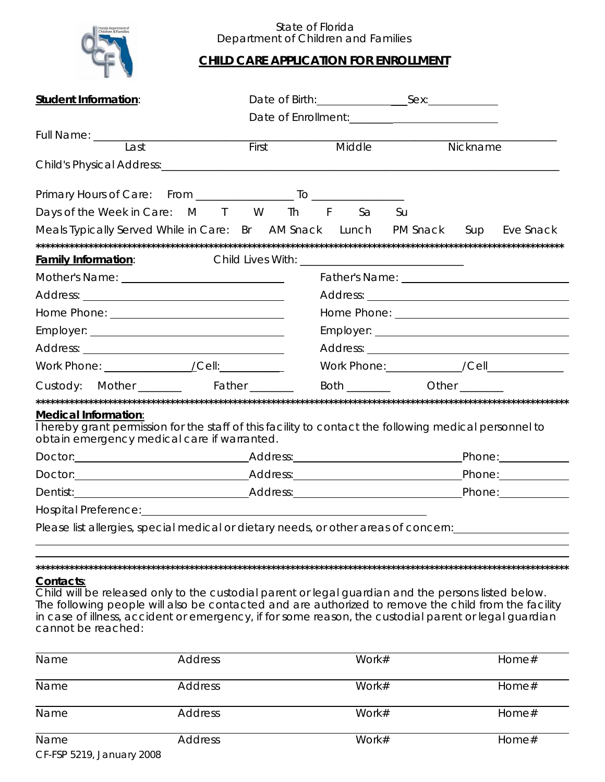

## State of Florida Department of Children and Families

## **CHILD CARE APPLICATION FOR ENROLLMENT**

| <b>Student Information:</b>                                                                                                                                                                                                                                                                                                                |       |        |            |                                            |
|--------------------------------------------------------------------------------------------------------------------------------------------------------------------------------------------------------------------------------------------------------------------------------------------------------------------------------------------|-------|--------|------------|--------------------------------------------|
|                                                                                                                                                                                                                                                                                                                                            |       |        |            |                                            |
| Full Name: _________                                                                                                                                                                                                                                                                                                                       |       |        |            |                                            |
| Last                                                                                                                                                                                                                                                                                                                                       | First | Middle |            | Nickname                                   |
|                                                                                                                                                                                                                                                                                                                                            |       |        |            |                                            |
|                                                                                                                                                                                                                                                                                                                                            |       |        |            |                                            |
| Days of the Week in Care: M T W Th F Sa                                                                                                                                                                                                                                                                                                    |       |        | Su         |                                            |
| Meals Typically Served While in Care: Br AM Snack Lunch PM Snack Sup Eve Snack                                                                                                                                                                                                                                                             |       |        |            |                                            |
|                                                                                                                                                                                                                                                                                                                                            |       |        |            |                                            |
| <b>Family Information:</b>                                                                                                                                                                                                                                                                                                                 |       |        |            |                                            |
|                                                                                                                                                                                                                                                                                                                                            |       |        |            |                                            |
|                                                                                                                                                                                                                                                                                                                                            |       |        |            |                                            |
|                                                                                                                                                                                                                                                                                                                                            |       |        |            |                                            |
|                                                                                                                                                                                                                                                                                                                                            |       |        |            |                                            |
|                                                                                                                                                                                                                                                                                                                                            |       |        |            |                                            |
|                                                                                                                                                                                                                                                                                                                                            |       |        |            | Work Phone:____________/Cell______________ |
| Custody: Mother ________ Father ______                                                                                                                                                                                                                                                                                                     |       |        | Both Other |                                            |
|                                                                                                                                                                                                                                                                                                                                            |       |        |            |                                            |
| <b>Medical Information:</b><br>I hereby grant permission for the staff of this facility to contact the following medical personnel to<br>obtain emergency medical care if warranted.                                                                                                                                                       |       |        |            |                                            |
|                                                                                                                                                                                                                                                                                                                                            |       |        |            |                                            |
| Doctor: Phone: Phone: Phone: Phone: Phone: Phone: Phone: Phone: Phone: Phone: Phone: Phone: Phone: Phone: Phone: Phone: Phone: Phone: Phone: Phone: Phone: Phone: Phone: Phone: Phone: Phone: Phone: Phone: Phone: Phone: Phon                                                                                                             |       |        |            |                                            |
| Dentist: Phone: Phone: Phone: Phone: Phone: Phone: Phone: Phone: Phone: Phone: Phone: Phone: Phone: Phone: Phone: Phone: Phone: Phone: Phone: Phone: Phone: Phone: Phone: Phone: Phone: Phone: Phone: Phone: Phone: Phone: Pho                                                                                                             |       |        |            |                                            |
|                                                                                                                                                                                                                                                                                                                                            |       |        |            |                                            |
| Please list allergies, special medical or dietary needs, or other areas of concern:                                                                                                                                                                                                                                                        |       |        |            |                                            |
|                                                                                                                                                                                                                                                                                                                                            |       |        |            |                                            |
|                                                                                                                                                                                                                                                                                                                                            |       |        |            |                                            |
| Contacts:                                                                                                                                                                                                                                                                                                                                  |       |        |            |                                            |
| Child will be released only to the custodial parent or legal guardian and the persons listed below.<br>The following people will also be contacted and are authorized to remove the child from the facility<br>in case of illness, accident or emergency, if for some reason, the custodial parent or legal guardian<br>cannot be reached: |       |        |            |                                            |

| Name                      | <b>Address</b> | Work#    | Home#    |
|---------------------------|----------------|----------|----------|
| Name                      | <b>Address</b> | Work#    | Home $#$ |
| Name                      | <b>Address</b> | Work $#$ | Home#    |
| Name                      | <b>Address</b> | Work $#$ | Home#    |
| CF-FSP 5219, January 2008 |                |          |          |